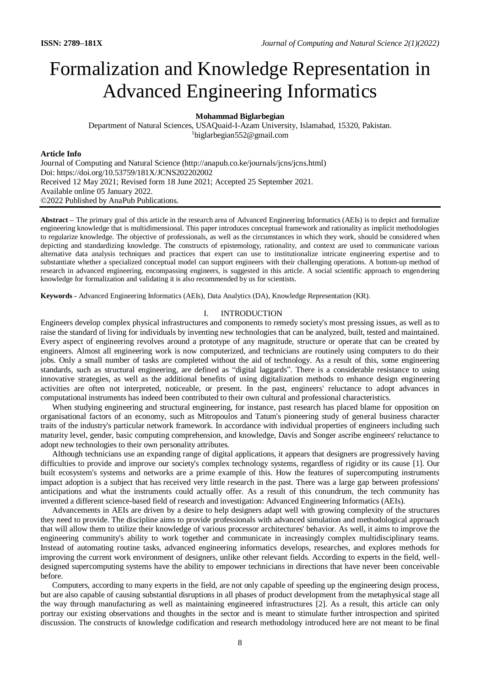# Formalization and Knowledge Representation in Advanced Engineering Informatics

# **[Mohammad Biglarbegian](https://www.uoguelph.ca/ceps/people/mohammad-biglarbegian)**

Department of Natural Sciences, USAQuaid-I-Azam University, Islamabad, 15320, Pakistan. <sup>1</sup>biglarbegian552@gmail.com

#### **Article Info**

Journal of Computing and Natural Science (http://anapub.co.ke/journals/jcns/jcns.html) Doi: https://doi.org/10.53759/181X/JCNS202202002 Received 12 May 2021; Revised form 18 June 2021; Accepted 25 September 2021. Available online 05 January 2022. ©2022 Published by AnaPub Publications.

**Abstract –** The primary goal of this article in the research area of Advanced Engineering Informatics (AEIs) is to depict and formalize engineering knowledge that is multidimensional. This paper introduces conceptual framework and rationality as implicit methodologies to regularize knowledge. The objective of professionals, as well as the circumstances in which they work, should be considered when depicting and standardizing knowledge. The constructs of epistemology, rationality, and context are used to communicate various alternative data analysis techniques and practices that expert can use to institutionalize intricate engineering expertise and to substantiate whether a specialized conceptual model can support engineers with their challenging operations. A bottom-up method of research in advanced engineering, encompassing engineers, is suggested in this article. A social scientific approach to engendering knowledge for formalization and validating it is also recommended by us for scientists.

**Keywords -** Advanced Engineering Informatics (AEIs), Data Analytics (DA), Knowledge Representation (KR).

#### I. INTRODUCTION

Engineers develop complex physical infrastructures and components to remedy society's most pressing issues, as well as to raise the standard of living for individuals by inventing new technologies that can be analyzed, built, tested and maintained. Every aspect of engineering revolves around a prototype of any magnitude, structure or operate that can be created by engineers. Almost all engineering work is now computerized, and technicians are routinely using computers to do their jobs. Only a small number of tasks are completed without the aid of technology. As a result of this, some engineering standards, such as structural engineering, are defined as "digital laggards". There is a considerable resistance to using innovative strategies, as well as the additional benefits of using digitalization methods to enhance design engineering activities are often not interpreted, noticeable, or present. In the past, engineers' reluctance to adopt advances in computational instruments has indeed been contributed to their own cultural and professional characteristics.

When studying engineering and structural engineering, for instance, past research has placed blame for opposition on organisational factors of an economy, such as Mitropoulos and Tatum's pioneering study of general business character traits of the industry's particular network framework. In accordance with individual properties of engineers including such maturity level, gender, basic computing comprehension, and knowledge, Davis and Songer ascribe engineers' reluctance to adopt new technologies to their own personality attributes.

Although technicians use an expanding range of digital applications, it appears that designers are progressively having difficulties to provide and improve our society's complex technology systems, regardless of rigidity or its cause [1]. Our built ecosystem's systems and networks are a prime example of this. How the features of supercomputing instruments impact adoption is a subject that has received very little research in the past. There was a large gap between professions' anticipations and what the instruments could actually offer. As a result of this conundrum, the tech community has invented a different science-based field of research and investigation: Advanced Engineering Informatics (AEIs).

Advancements in AEIs are driven by a desire to help designers adapt well with growing complexity of the structures they need to provide. The discipline aims to provide professionals with advanced simulation and methodological approach that will allow them to utilize their knowledge of various processor architectures' behavior. As well, it aims to improve the engineering community's ability to work together and communicate in increasingly complex multidisciplinary teams. Instead of automating routine tasks, advanced engineering informatics develops, researches, and explores methods for improving the current work environment of designers, unlike other relevant fields. According to experts in the field, welldesigned supercomputing systems have the ability to empower technicians in directions that have never been conceivable before.

Computers, according to many experts in the field, are not only capable of speeding up the engineering design process, but are also capable of causing substantial disruptions in all phases of product development from the metaphysical stage all the way through manufacturing as well as maintaining engineered infrastructures [2]. As a result, this article can only portray our existing observations and thoughts in the sector and is meant to stimulate further introspection and spirited discussion. The constructs of knowledge codification and research methodology introduced here are not meant to be final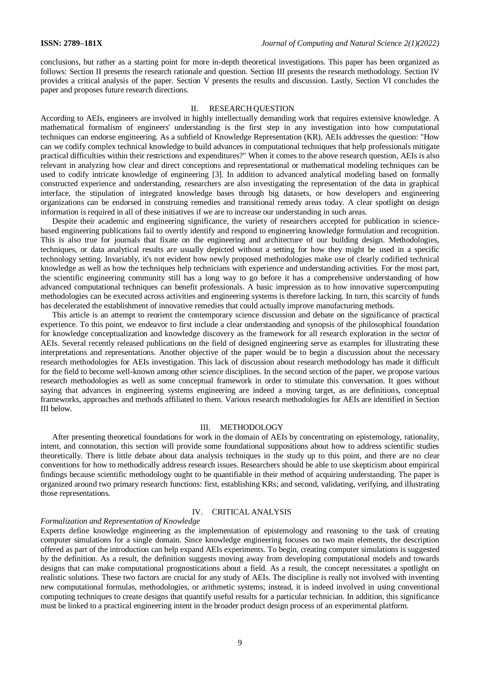conclusions, but rather as a starting point for more in-depth theoretical investigations. This paper has been organized as follows: Section II presents the research rationale and question. Section III presents the research methodology. Section IV provides a critical analysis of the paper. Section V presents the results and discussion. Lastly, Section VI concludes the paper and proposes future research directions.

#### II. RESEARCH QUESTION

According to AEIs, engineers are involved in highly intellectually demanding work that requires extensive knowledge. A mathematical formalism of engineers' understanding is the first step in any investigation into how computational techniques can endorse engineering. As a subfield of Knowledge Representation (KR), AEIs addresses the question: "How can we codify complex technical knowledge to build advances in computational techniques that help professionals mitigate practical difficulties within their restrictions and expenditures?" When it comes to the above research question, AEIs is also relevant in analyzing how clear and direct conceptions and representational or mathematical modeling techniques can be used to codify intricate knowledge of engineering [3]. In addition to advanced analytical modeling based on formally constructed experience and understanding, researchers are also investigating the representation of the data in graphical interface, the stipulation of integrated knowledge bases through big datasets, or how developers and engineering organizations can be endorsed in construing remedies and transitional remedy areas today. A clear spotlight on design information is required in all of these initiatives if we are to increase our understanding in such areas.

Despite their academic and engineering significance, the variety of researchers accepted for publication in sciencebased engineering publications fail to overtly identify and respond to engineering knowledge formulation and recognition. This is also true for journals that fixate on the engineering and architecture of our building design. Methodologies, techniques, or data analytical results are usually depicted without a setting for how they might be used in a specific technology setting. Invariably, it's not evident how newly proposed methodologies make use of clearly codified technical knowledge as well as how the techniques help technicians with experience and understanding activities. For the most part, the scientific engineering community still has a long way to go before it has a comprehensive understanding of how advanced computational techniques can benefit professionals. A basic impression as to how innovative supercomputing methodologies can be executed across activities and engineering systems is therefore lacking. In turn, this scarcity of funds has decelerated the establishment of innovative remedies that could actually improve manufacturing methods.

This article is an attempt to reorient the contemporary science discussion and debate on the significance of practical experience. To this point, we endeavor to first include a clear understanding and synopsis of the philosophical foundation for knowledge conceptualization and knowledge discovery as the framework for all research exploration in the sector of AEIs. Several recently released publications on the field of designed engineering serve as examples for illustrating these interpretations and representations. Another objective of the paper would be to begin a discussion about the necessary research methodologies for AEIs investigation. This lack of discussion about research methodology has made it difficult for the field to become well-known among other science disciplines. In the second section of the paper, we propose various research methodologies as well as some conceptual framework in order to stimulate this conversation. It goes without saying that advances in engineering systems engineering are indeed a moving target, as are definitions, conceptual frameworks, approaches and methods affiliated to them. Various research methodologies for AEIs are identified in Section III below.

#### III. METHODOLOGY

After presenting theoretical foundations for work in the domain of AEIs by concentrating on epistemology, rationality, intent, and connotation, this section will provide some foundational suppositions about how to address scientific studies theoretically. There is little debate about data analysis techniques in the study up to this point, and there are no clear conventions for how to methodically address research issues. Researchers should be able to use skepticism about empirical findings because scientific methodology ought to be quantifiable in their method of acquiring understanding. The paper is organized around two primary research functions: first, establishing KRs; and second, validating, verifying, and illustrating those representations.

# IV. CRITICAL ANALYSIS

# *Formalization and Representation of Knowledge*

Experts define knowledge engineering as the implementation of epistemology and reasoning to the task of creating computer simulations for a single domain. Since knowledge engineering focuses on two main elements, the description offered as part of the introduction can help expand AEIs experiments. To begin, creating computer simulations is suggested by the definition. As a result, the definition suggests moving away from developing computational models and towards designs that can make computational prognostications about a field. As a result, the concept necessitates a spotlight on realistic solutions. These two factors are crucial for any study of AEIs. The discipline is really not involved with inventing new computational formulas, methodologies, or arithmetic systems; instead, it is indeed involved in using conventional computing techniques to create designs that quantify useful results for a particular technician. In addition, this significance must be linked to a practical engineering intent in the broader product design process of an experimental platform.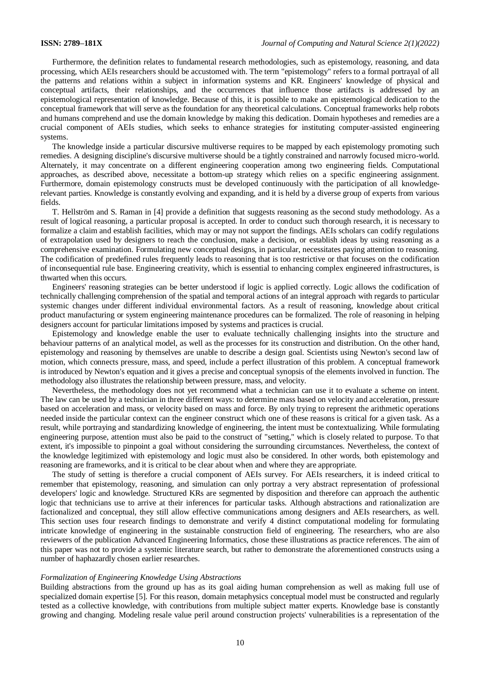Furthermore, the definition relates to fundamental research methodologies, such as epistemology, reasoning, and data processing, which AEIs researchers should be accustomed with. The term "epistemology" refers to a formal portrayal of all the patterns and relations within a subject in information systems and KR. Engineers' knowledge of physical and conceptual artifacts, their relationships, and the occurrences that influence those artifacts is addressed by an epistemological representation of knowledge. Because of this, it is possible to make an epistemological dedication to the conceptual framework that will serve as the foundation for any theoretical calculations. Conceptual frameworks help robots and humans comprehend and use the domain knowledge by making this dedication. Domain hypotheses and remedies are a crucial component of AEIs studies, which seeks to enhance strategies for instituting computer-assisted engineering systems.

The knowledge inside a particular discursive multiverse requires to be mapped by each epistemology promoting such remedies. A designing discipline's discursive multiverse should be a tightly constrained and narrowly focused micro-world. Alternately, it may concentrate on a different engineering cooperation among two engineering fields. Computational approaches, as described above, necessitate a bottom-up strategy which relies on a specific engineering assignment. Furthermore, domain epistemology constructs must be developed continuously with the participation of all knowledgerelevant parties. Knowledge is constantly evolving and expanding, and it is held by a diverse group of experts from various fields.

T. Hellström and S. Raman in [4] provide a definition that suggests reasoning as the second study methodology. As a result of logical reasoning, a particular proposal is accepted. In order to conduct such thorough research, it is necessary to formalize a claim and establish facilities, which may or may not support the findings. AEIs scholars can codify regulations of extrapolation used by designers to reach the conclusion, make a decision, or establish ideas by using reasoning as a comprehensive examination. Formulating new conceptual designs, in particular, necessitates paying attention to reasoning. The codification of predefined rules frequently leads to reasoning that is too restrictive or that focuses on the codification of inconsequential rule base. Engineering creativity, which is essential to enhancing complex engineered infrastructures, is thwarted when this occurs.

Engineers' reasoning strategies can be better understood if logic is applied correctly. Logic allows the codification of technically challenging comprehension of the spatial and temporal actions of an integral approach with regards to particular systemic changes under different individual environmental factors. As a result of reasoning, knowledge about critical product manufacturing or system engineering maintenance procedures can be formalized. The role of reasoning in helping designers account for particular limitations imposed by systems and practices is crucial.

Epistemology and knowledge enable the user to evaluate technically challenging insights into the structure and behaviour patterns of an analytical model, as well as the processes for its construction and distribution. On the other hand, epistemology and reasoning by themselves are unable to describe a design goal. Scientists using Newton's second law of motion, which connects pressure, mass, and speed, include a perfect illustration of this problem. A conceptual framework is introduced by Newton's equation and it gives a precise and conceptual synopsis of the elements involved in function. The methodology also illustrates the relationship between pressure, mass, and velocity.

Nevertheless, the methodology does not yet recommend what a technician can use it to evaluate a scheme on intent. The law can be used by a technician in three different ways: to determine mass based on velocity and acceleration, pressure based on acceleration and mass, or velocity based on mass and force. By only trying to represent the arithmetic operations needed inside the particular context can the engineer construct which one of these reasons is critical for a given task. As a result, while portraying and standardizing knowledge of engineering, the intent must be contextualizing. While formulating engineering purpose, attention must also be paid to the construct of "setting," which is closely related to purpose. To that extent, it's impossible to pinpoint a goal without considering the surrounding circumstances. Nevertheless, the context of the knowledge legitimized with epistemology and logic must also be considered. In other words, both epistemology and reasoning are frameworks, and it is critical to be clear about when and where they are appropriate.

The study of setting is therefore a crucial component of AEIs survey. For AEIs researchers, it is indeed critical to remember that epistemology, reasoning, and simulation can only portray a very abstract representation of professional developers' logic and knowledge. Structured KRs are segmented by disposition and therefore can approach the authentic logic that technicians use to arrive at their inferences for particular tasks. Although abstractions and rationalization are factionalized and conceptual, they still allow effective communications among designers and AEIs researchers, as well. This section uses four research findings to demonstrate and verify 4 distinct computational modeling for formulating intricate knowledge of engineering in the sustainable construction field of engineering. The researchers, who are also reviewers of the publication Advanced Engineering Informatics, chose these illustrations as practice references. The aim of this paper was not to provide a systemic literature search, but rather to demonstrate the aforementioned constructs using a number of haphazardly chosen earlier researches.

### *Formalization of Engineering Knowledge Using Abstractions*

Building abstractions from the ground up has as its goal aiding human comprehension as well as making full use of specialized domain expertise [5]. For this reason, domain metaphysics conceptual model must be constructed and regularly tested as a collective knowledge, with contributions from multiple subject matter experts. Knowledge base is constantly growing and changing. Modeling resale value peril around construction projects' vulnerabilities is a representation of the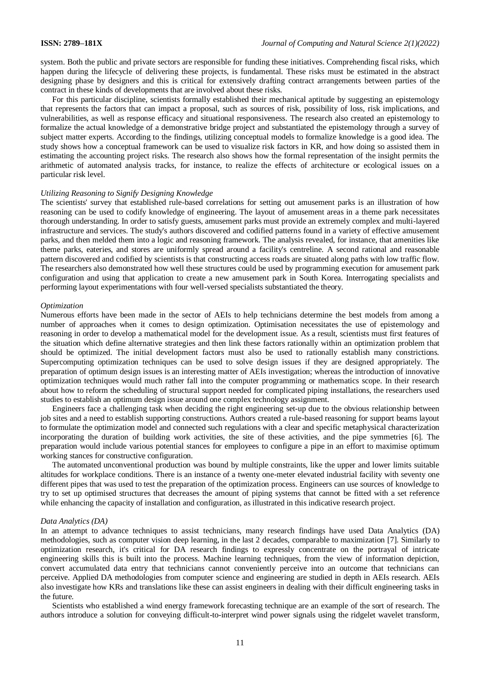system. Both the public and private sectors are responsible for funding these initiatives. Comprehending fiscal risks, which happen during the lifecycle of delivering these projects, is fundamental. These risks must be estimated in the abstract designing phase by designers and this is critical for extensively drafting contract arrangements between parties of the contract in these kinds of developments that are involved about these risks.

For this particular discipline, scientists formally established their mechanical aptitude by suggesting an epistemology that represents the factors that can impact a proposal, such as sources of risk, possibility of loss, risk implications, and vulnerabilities, as well as response efficacy and situational responsiveness. The research also created an epistemology to formalize the actual knowledge of a demonstrative bridge project and substantiated the epistemology through a survey of subject matter experts. According to the findings, utilizing conceptual models to formalize knowledge is a good idea. The study shows how a conceptual framework can be used to visualize risk factors in KR, and how doing so assisted them in estimating the accounting project risks. The research also shows how the formal representation of the insight permits the arithmetic of automated analysis tracks, for instance, to realize the effects of architecture or ecological issues on a particular risk level.

# *Utilizing Reasoning to Signify Designing Knowledge*

The scientists' survey that established rule-based correlations for setting out amusement parks is an illustration of how reasoning can be used to codify knowledge of engineering. The layout of amusement areas in a theme park necessitates thorough understanding. In order to satisfy guests, amusement parks must provide an extremely complex and multi-layered infrastructure and services. The study's authors discovered and codified patterns found in a variety of effective amusement parks, and then melded them into a logic and reasoning framework. The analysis revealed, for instance, that amenities like theme parks, eateries, and stores are uniformly spread around a facility's centreline. A second rational and reasonable pattern discovered and codified by scientists is that constructing access roads are situated along paths with low traffic flow. The researchers also demonstrated how well these structures could be used by programming execution for amusement park configuration and using that application to create a new amusement park in South Korea. Interrogating specialists and performing layout experimentations with four well-versed specialists substantiated the theory.

#### *Optimization*

Numerous efforts have been made in the sector of AEIs to help technicians determine the best models from among a number of approaches when it comes to design optimization. Optimisation necessitates the use of epistemology and reasoning in order to develop a mathematical model for the development issue. As a result, scientists must first features of the situation which define alternative strategies and then link these factors rationally within an optimization problem that should be optimized. The initial development factors must also be used to rationally establish many constrictions. Supercomputing optimization techniques can be used to solve design issues if they are designed appropriately. The preparation of optimum design issues is an interesting matter of AEIs investigation; whereas the introduction of innovative optimization techniques would much rather fall into the computer programming or mathematics scope. In their research about how to reform the scheduling of structural support needed for complicated piping installations, the researchers used studies to establish an optimum design issue around one complex technology assignment.

Engineers face a challenging task when deciding the right engineering set-up due to the obvious relationship between job sites and a need to establish supporting constructions. Authors created a rule-based reasoning for support beams layout to formulate the optimization model and connected such regulations with a clear and specific metaphysical characterization incorporating the duration of building work activities, the site of these activities, and the pipe symmetries [6]. The preparation would include various potential stances for employees to configure a pipe in an effort to maximise optimum working stances for constructive configuration.

The automated unconventional production was bound by multiple constraints, like the upper and lower limits suitable altitudes for workplace conditions. There is an instance of a twenty one-meter elevated industrial facility with seventy one different pipes that was used to test the preparation of the optimization process. Engineers can use sources of knowledge to try to set up optimised structures that decreases the amount of piping systems that cannot be fitted with a set reference while enhancing the capacity of installation and configuration, as illustrated in this indicative research project.

# *Data Analytics (DA)*

In an attempt to advance techniques to assist technicians, many research findings have used Data Analytics (DA) methodologies, such as computer vision deep learning, in the last 2 decades, comparable to maximization [7]. Similarly to optimization research, it's critical for DA research findings to expressly concentrate on the portrayal of intricate engineering skills this is built into the process. Machine learning techniques, from the view of information depiction, convert accumulated data entry that technicians cannot conveniently perceive into an outcome that technicians can perceive. Applied DA methodologies from computer science and engineering are studied in depth in AEIs research. AEIs also investigate how KRs and translations like these can assist engineers in dealing with their difficult engineering tasks in the future.

Scientists who established a wind energy framework forecasting technique are an example of the sort of research. The authors introduce a solution for conveying difficult-to-interpret wind power signals using the ridgelet wavelet transform,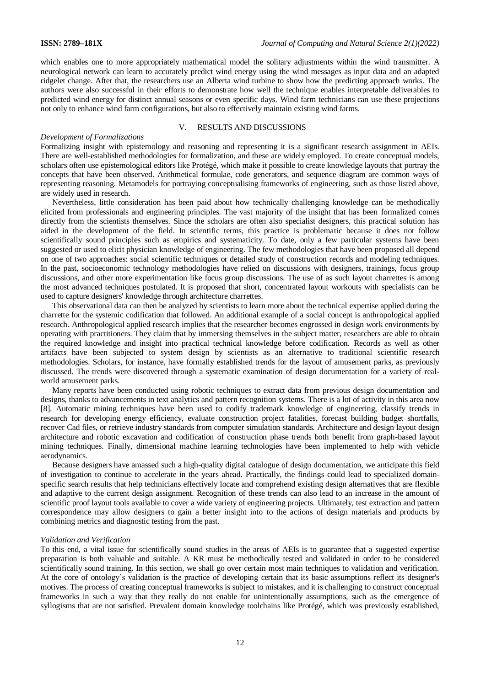which enables one to more appropriately mathematical model the solitary adjustments within the wind transmitter. A neurological network can learn to accurately predict wind energy using the wind messages as input data and an adapted ridgelet change. After that, the researchers use an Alberta wind turbine to show how the predicting approach works. The authors were also successful in their efforts to demonstrate how well the technique enables interpretable deliverables to predicted wind energy for distinct annual seasons or even specific days. Wind farm technicians can use these projections not only to enhance wind farm configurations, but also to effectively maintain existing wind farms.

# V. RESULTS AND DISCUSSIONS

### *Development of Formalizations*

Formalizing insight with epistemology and reasoning and representing it is a significant research assignment in AEIs. There are well-established methodologies for formalization, and these are widely employed. To create conceptual models, scholars often use epistemological editors like Protégé, which make it possible to create knowledge layouts that portray the concepts that have been observed. Arithmetical formulae, code generators, and sequence diagram are common ways of representing reasoning. Metamodels for portraying conceptualising frameworks of engineering, such as those listed above, are widely used in research.

Nevertheless, little consideration has been paid about how technically challenging knowledge can be methodically elicited from professionals and engineering principles. The vast majority of the insight that has been formalized comes directly from the scientists themselves. Since the scholars are often also specialist designers, this practical solution has aided in the development of the field. In scientific terms, this practice is problematic because it does not follow scientifically sound principles such as empirics and systematicity. To date, only a few particular systems have been suggested or used to elicit physician knowledge of engineering. The few methodologies that have been proposed all depend on one of two approaches: social scientific techniques or detailed study of construction records and modeling techniques. In the past, socioeconomic technology methodologies have relied on discussions with designers, trainings, focus group discussions, and other more experimentation like focus group discussions. The use of as such layout charrettes is among the most advanced techniques postulated. It is proposed that short, concentrated layout workouts with specialists can be used to capture designers' knowledge through architecture charrettes.

This observational data can then be analyzed by scientists to learn more about the technical expertise applied during the charrette for the systemic codification that followed. An additional example of a social concept is anthropological applied research. Anthropological applied research implies that the researcher becomes engrossed in design work environments by operating with practitioners. They claim that by immersing themselves in the subject matter, researchers are able to obtain the required knowledge and insight into practical technical knowledge before codification. Records as well as other artifacts have been subjected to system design by scientists as an alternative to traditional scientific research methodologies. Scholars, for instance, have formally established trends for the layout of amusement parks, as previously discussed. The trends were discovered through a systematic examination of design documentation for a variety of realworld amusement parks.

Many reports have been conducted using robotic techniques to extract data from previous design documentation and designs, thanks to advancements in text analytics and pattern recognition systems. There is a lot of activity in this area now [8]. Automatic mining techniques have been used to codify trademark knowledge of engineering, classify trends in research for developing energy efficiency, evaluate construction project fatalities, forecast building budget shortfalls, recover Cad files, or retrieve industry standards from computer simulation standards. Architecture and design layout design architecture and robotic excavation and codification of construction phase trends both benefit from graph-based layout mining techniques. Finally, dimensional machine learning technologies have been implemented to help with vehicle aerodynamics.

Because designers have amassed such a high-quality digital catalogue of design documentation, we anticipate this field of investigation to continue to accelerate in the years ahead. Practically, the findings could lead to specialized domainspecific search results that help technicians effectively locate and comprehend existing design alternatives that are flexible and adaptive to the current design assignment. Recognition of these trends can also lead to an increase in the amount of scientific proof layout tools available to cover a wide variety of engineering projects. Ultimately, test extraction and pattern correspondence may allow designers to gain a better insight into to the actions of design materials and products by combining metrics and diagnostic testing from the past.

# *Validation and Verification*

To this end, a vital issue for scientifically sound studies in the areas of AEIs is to guarantee that a suggested expertise preparation is both valuable and suitable. A KR must be methodically tested and validated in order to be considered scientifically sound training. In this section, we shall go over certain most main techniques to validation and verification. At the core of ontology's validation is the practice of developing certain that its basic assumptions reflect its designer's motives. The process of creating conceptual frameworks is subject to mistakes, and it is challenging to construct conceptual frameworks in such a way that they really do not enable for unintentionally assumptions, such as the emergence of syllogisms that are not satisfied. Prevalent domain knowledge toolchains like Protégé, which was previously established,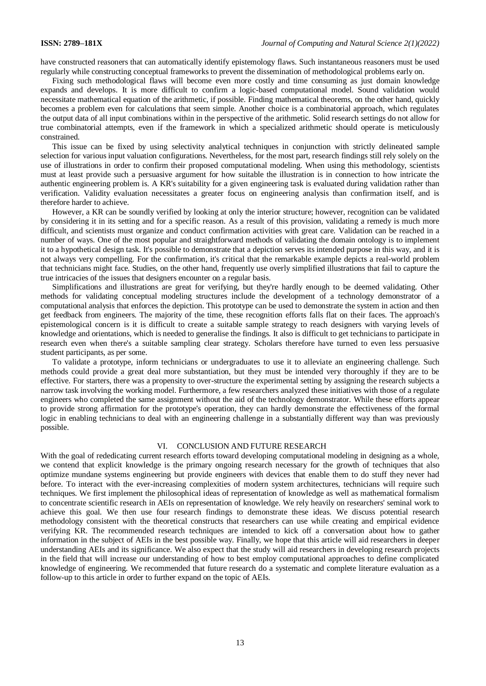have constructed reasoners that can automatically identify epistemology flaws. Such instantaneous reasoners must be used regularly while constructing conceptual frameworks to prevent the dissemination of methodological problems early on.

Fixing such methodological flaws will become even more costly and time consuming as just domain knowledge expands and develops. It is more difficult to confirm a logic-based computational model. Sound validation would necessitate mathematical equation of the arithmetic, if possible. Finding mathematical theorems, on the other hand, quickly becomes a problem even for calculations that seem simple. Another choice is a combinatorial approach, which regulates the output data of all input combinations within in the perspective of the arithmetic. Solid research settings do not allow for true combinatorial attempts, even if the framework in which a specialized arithmetic should operate is meticulously constrained.

This issue can be fixed by using selectivity analytical techniques in conjunction with strictly delineated sample selection for various input valuation configurations. Nevertheless, for the most part, research findings still rely solely on the use of illustrations in order to confirm their proposed computational modeling. When using this methodology, scientists must at least provide such a persuasive argument for how suitable the illustration is in connection to how intricate the authentic engineering problem is. A KR's suitability for a given engineering task is evaluated during validation rather than verification. Validity evaluation necessitates a greater focus on engineering analysis than confirmation itself, and is therefore harder to achieve.

However, a KR can be soundly verified by looking at only the interior structure; however, recognition can be validated by considering it in its setting and for a specific reason. As a result of this provision, validating a remedy is much more difficult, and scientists must organize and conduct confirmation activities with great care. Validation can be reached in a number of ways. One of the most popular and straightforward methods of validating the domain ontology is to implement it to a hypothetical design task. It's possible to demonstrate that a depiction serves its intended purpose in this way, and it is not always very compelling. For the confirmation, it's critical that the remarkable example depicts a real-world problem that technicians might face. Studies, on the other hand, frequently use overly simplified illustrations that fail to capture the true intricacies of the issues that designers encounter on a regular basis.

Simplifications and illustrations are great for verifying, but they're hardly enough to be deemed validating. Other methods for validating conceptual modeling structures include the development of a technology demonstrator of a computational analysis that enforces the depiction. This prototype can be used to demonstrate the system in action and then get feedback from engineers. The majority of the time, these recognition efforts falls flat on their faces. The approach's epistemological concern is it is difficult to create a suitable sample strategy to reach designers with varying levels of knowledge and orientations, which is needed to generalise the findings. It also is difficult to get technicians to participate in research even when there's a suitable sampling clear strategy. Scholars therefore have turned to even less persuasive student participants, as per some.

To validate a prototype, inform technicians or undergraduates to use it to alleviate an engineering challenge. Such methods could provide a great deal more substantiation, but they must be intended very thoroughly if they are to be effective. For starters, there was a propensity to over-structure the experimental setting by assigning the research subjects a narrow task involving the working model. Furthermore, a few researchers analyzed these initiatives with those of a regulate engineers who completed the same assignment without the aid of the technology demonstrator. While these efforts appear to provide strong affirmation for the prototype's operation, they can hardly demonstrate the effectiveness of the formal logic in enabling technicians to deal with an engineering challenge in a substantially different way than was previously possible.

# VI. CONCLUSION AND FUTURE RESEARCH

With the goal of rededicating current research efforts toward developing computational modeling in designing as a whole, we contend that explicit knowledge is the primary ongoing research necessary for the growth of techniques that also optimize mundane systems engineering but provide engineers with devices that enable them to do stuff they never had before. To interact with the ever-increasing complexities of modern system architectures, technicians will require such techniques. We first implement the philosophical ideas of representation of knowledge as well as mathematical formalism to concentrate scientific research in AEIs on representation of knowledge. We rely heavily on researchers' seminal work to achieve this goal. We then use four research findings to demonstrate these ideas. We discuss potential research methodology consistent with the theoretical constructs that researchers can use while creating and empirical evidence verifying KR. The recommended research techniques are intended to kick off a conversation about how to gather information in the subject of AEIs in the best possible way. Finally, we hope that this article will aid researchers in deeper understanding AEIs and its significance. We also expect that the study will aid researchers in developing research projects in the field that will increase our understanding of how to best employ computational approaches to define complicated knowledge of engineering. We recommended that future research do a systematic and complete literature evaluation as a follow-up to this article in order to further expand on the topic of AEIs.